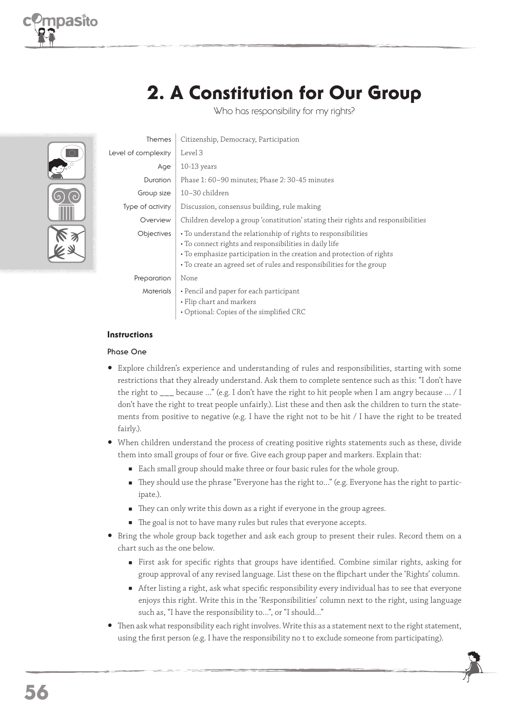

# 2. A Constitution for Our Group

Who has responsibility for my rights?

|                   | Themes              | Citizenship, Democracy, Participation                                                                                                                                                                                                                                      |
|-------------------|---------------------|----------------------------------------------------------------------------------------------------------------------------------------------------------------------------------------------------------------------------------------------------------------------------|
| $\langle \rangle$ | Level of complexity | Level 3                                                                                                                                                                                                                                                                    |
|                   | Age                 | $10-13$ years                                                                                                                                                                                                                                                              |
|                   | Duration            | Phase 1: 60–90 minutes; Phase 2: 30-45 minutes                                                                                                                                                                                                                             |
|                   | Group size          | 10-30 children                                                                                                                                                                                                                                                             |
|                   | Type of activity    | Discussion, consensus building, rule making                                                                                                                                                                                                                                |
|                   | Overview            | Children develop a group 'constitution' stating their rights and responsibilities                                                                                                                                                                                          |
|                   | <b>Objectives</b>   | · To understand the relationship of rights to responsibilities<br>• To connect rights and responsibilities in daily life<br>• To emphasize participation in the creation and protection of rights<br>• To create an agreed set of rules and responsibilities for the group |
|                   | Preparation         | None                                                                                                                                                                                                                                                                       |
|                   | <b>Materials</b>    | • Pencil and paper for each participant<br>• Flip chart and markers<br>• Optional: Copies of the simplified CRC                                                                                                                                                            |

# **Instructions**

## **Phase One**

- Explore children's experience and understanding of rules and responsibilities, starting with some restrictions that they already understand. Ask them to complete sentence such as this: "I don't have the right to because ..." (e.g. I don't have the right to hit people when I am angry because ... / I don't have the right to treat people unfairly.). List these and then ask the children to turn the statements from positive to negative (e.g. I have the right not to be hit / I have the right to be treated fairly.).
- When children understand the process of creating positive rights statements such as these, divide them into small groups of four or five. Give each group paper and markers. Explain that:
	- Each small group should make three or four basic rules for the whole group.
	- They should use the phrase "Everyone has the right to..." (e.g. Everyone has the right to participate.).
	- They can only write this down as a right if everyone in the group agrees.
	- $\blacksquare$  The goal is not to have many rules but rules that everyone accepts.
- Bring the whole group back together and ask each group to present their rules. Record them on a chart such as the one below.
	- First ask for specific rights that groups have identified. Combine similar rights, asking for group approval of any revised language. List these on the flipchart under the 'Rights' column.
	- After listing a right, ask what specific responsibility every individual has to see that everyone enjoys this right. Write this in the 'Responsibilities' column next to the right, using language such as, "I have the responsibility to…", or "I should…"
- Then ask what responsibility each right involves. Write this as a statement next to the right statement, using the first person (e.g. I have the responsibility no t to exclude someone from participating).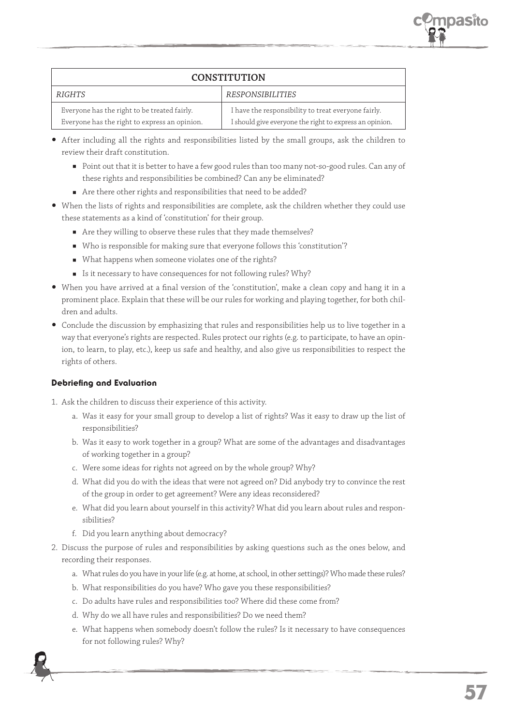

| <b>CONSTITUTION</b>                           |                                                         |  |  |  |
|-----------------------------------------------|---------------------------------------------------------|--|--|--|
| <i>RIGHTS</i>                                 | RESPONSIBILITIES                                        |  |  |  |
| Everyone has the right to be treated fairly.  | I have the responsibility to treat everyone fairly.     |  |  |  |
| Everyone has the right to express an opinion. | I should give everyone the right to express an opinion. |  |  |  |

- After including all the rights and responsibilities listed by the small groups, ask the children to review their draft constitution.
	- Point out that it is better to have a few good rules than too many not-so-good rules. Can any of these rights and responsibilities be combined? Can any be eliminated?
	- Are there other rights and responsibilities that need to be added?
- When the lists of rights and responsibilities are complete, ask the children whether they could use these statements as a kind of 'constitution' for their group.
	- Are they willing to observe these rules that they made themselves?
	- Who is responsible for making sure that everyone follows this 'constitution'?
	- What happens when someone violates one of the rights?
	- Is it necessary to have consequences for not following rules? Why?
- When you have arrived at a final version of the 'constitution', make a clean copy and hang it in a prominent place. Explain that these will be our rules for working and playing together, for both children and adults.
- Conclude the discussion by emphasizing that rules and responsibilities help us to live together in a way that everyone's rights are respected. Rules protect our rights (e.g. to participate, to have an opinion, to learn, to play, etc.), keep us safe and healthy, and also give us responsibilities to respect the rights of others.

# Debriefing and Evaluation

- 1. Ask the children to discuss their experience of this activity.
	- a. Was it easy for your small group to develop a list of rights? Was it easy to draw up the list of responsibilities?
	- b. Was it easy to work together in a group? What are some of the advantages and disadvantages of working together in a group?
	- c. Were some ideas for rights not agreed on by the whole group? Why?
	- d. What did you do with the ideas that were not agreed on? Did anybody try to convince the rest of the group in order to get agreement? Were any ideas reconsidered?
	- e. What did you learn about yourself in this activity? What did you learn about rules and responsibilities?
	- f. Did you learn anything about democracy?
- 2. Discuss the purpose of rules and responsibilities by asking questions such as the ones below, and recording their responses.
	- a. What rules do you have in your life (e.g. at home, at school, in other settings)? Who made these rules?
	- b. What responsibilities do you have? Who gave you these responsibilities?
	- c. Do adults have rules and responsibilities too? Where did these come from?
	- d. Why do we all have rules and responsibilities? Do we need them?
	- e. What happens when somebody doesn't follow the rules? Is it necessary to have consequences for not following rules? Why?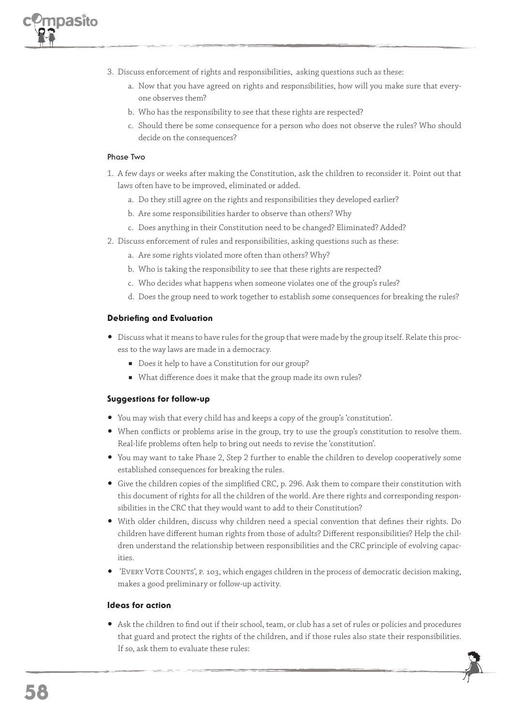- 3. Discuss enforcement of rights and responsibilities, asking questions such as these:
	- a. Now that you have agreed on rights and responsibilities, how will you make sure that everyone observes them?
	- b. Who has the responsibility to see that these rights are respected?
	- c. Should there be some consequence for a person who does not observe the rules? Who should decide on the consequences?

## **Phase Two**

- 1. A few days or weeks after making the Constitution, ask the children to reconsider it. Point out that laws often have to be improved, eliminated or added.
	- a. Do they still agree on the rights and responsibilities they developed earlier?
	- b. Are some responsibilities harder to observe than others? Why
	- c. Does anything in their Constitution need to be changed? Eliminated? Added?
- 2. Discuss enforcement of rules and responsibilities, asking questions such as these:
	- a. Are some rights violated more often than others? Why?
	- b. Who is taking the responsibility to see that these rights are respected?
	- c. Who decides what happens when someone violates one of the group's rules?
	- d. Does the group need to work together to establish some consequences for breaking the rules?

## Debriefing and Evaluation

- Discuss what it means to have rules for the group that were made by the group itself. Relate this process to the way laws are made in a democracy.
	- Does it help to have a Constitution for our group?
	- What difference does it make that the group made its own rules?

## Suggestions for follow-up

- You may wish that every child has and keeps a copy of the group's 'constitution'.
- When conflicts or problems arise in the group, try to use the group's constitution to resolve them. Real-life problems often help to bring out needs to revise the 'constitution'.
- You may want to take Phase 2, Step 2 further to enable the children to develop cooperatively some established consequences for breaking the rules.
- Give the children copies of the simplified CRC, p. 296. Ask them to compare their constitution with this document of rights for all the children of the world. Are there rights and corresponding responsibilities in the CRC that they would want to add to their Constitution?
- With older children, discuss why children need a special convention that defines their rights. Do children have different human rights from those of adults? Different responsibilities? Help the children understand the relationship between responsibilities and the CRC principle of evolving capacities.
- 'EVERY VOTE COUNTS', P. 103, which engages children in the process of democratic decision making, makes a good preliminary or follow-up activity.

## Ideas for action

• Ask the children to find out if their school, team, or club has a set of rules or policies and procedures that guard and protect the rights of the children, and if those rules also state their responsibilities. If so, ask them to evaluate these rules: